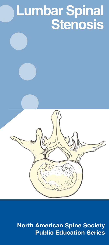# **Lumbar Spinal Stenosis**

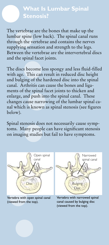## **What Is Lumbar Spinal Stenosis?**

The vertebrae are the bones that make up the lumbar spine (low back). The spinal canal runs through the vertebrae and contains the nerves supplying sensation and strength to the legs. Between the vertebrae are the intervertebral discs and the spinal facet joints.

The discs become less spongy and less fluid-filled with age. This can result in reduced disc height and bulging of the hardened disc into the spinal canal. Arthritis can cause the bones and ligaments of the spinal facet joints to thicken and enlarge, and push into the spinal canal. These changes cause narrowing of the lumbar spinal canal which is known as spinal stenosis (see figures below).

Spinal stenosis does not necessarily cause symptoms. Many people can have significant stenosis on imaging studies but fail to have symptoms.



Vertebra with open spinal canal (viewed from the top).



Vertebra with narrowed spinal canal caused by bulging disc (viewed from the top).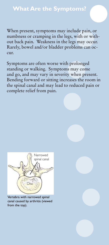When present, symptoms may include pain, or numbness or cramping in the legs, with or without back pain. Weakness in the legs may occur. Rarely, bowel and/or bladder problems can occur.

Symptoms are often worse with prolonged standing or walking. Symptoms may come and go, and may vary in severity when present. Bending forward or sitting increases the room in the spinal canal and may lead to reduced pain or complete relief from pain.



Vertebra with narrowed spinal canal caused by arthritis (viewed from the top).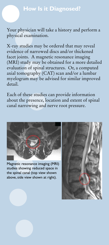#### **How Is it Diagnosed?**

Your physician will take a history and perform a physical examination.

X-ray studies may be ordered that may reveal evidence of narrowed discs and/or thickened facet joints. A magnetic resonance imaging (MRI) study may be obtained for a more detailed evaluation of spinal structures. Or, a computed axial tomography (CAT) scan and/or a lumbar myelogram may be advised for similar improved detail.

Each of these studies can provide information about the presence, location and extent of spinal canal narrowing and nerve root pressure.



Magnetic resonance imaging (MRI) studies showing reduced space in the spinal canal (top view shown above, side view shown at right).

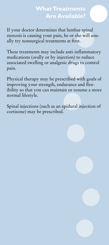## **What Treatments Are Available?**

If your doctor determines that lumbar spinal stenosis is causing your pain, he or she will usually try nonsurgical treatments at first.

These treatments may include anti-inflammatory medications (orally or by injection) to reduce associated swelling or analgesic drugs to control pain.

Physical therapy may be prescribed with goals of improving your strength, endurance and flexibility so that you can maintain or resume a more normal lifestyle.

Spinal injections (such as an epidural injection of cortisone) may be prescribed.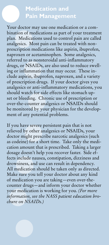### **Medication and Pain Management**

Your doctor may use one medication or a combination of medications as part of your treatment plan. Medications used to control pain are called analgesics. Most pain can be treated with nonprescription medications like aspirin, ibuprofen, naproxen or acetaminophen. Some analgesics, referred to as nonsteroidal anti-inflammatory drugs, or NSAIDs, are also used to reduce swelling or inflammation that may occur. These include aspirin, ibuprofen, naproxen, and a variety of prescription drugs. If your doctor gives you analgesics or anti-inflammatory medications, you should watch for side effects like stomach upset or bleeding. Chronic use of prescription or over-the-counter analgesics or NSAIDs should be monitored by your physician for the development of any potential problems.

If you have severe persistent pain that is not relieved by other analgesics or NSAIDs, your doctor might prescribe narcotic analgesics (such as codeine) for a short time. Take only the medication amount that is prescribed. Taking a larger dosage doesn't help you recover faster. Side effects include nausea, constipation, dizziness and drowsiness, and use can result in dependency. All medication should be taken only as directed. Make sure you tell your doctor about any kind of medication you are taking—even over-thecounter drugs—and inform your doctor whether your medication is working for you. *(For more information, see the NASS patient education brochure on NSAIDs.)*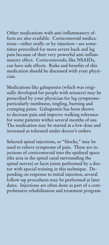Other medications with anti-inflammatory effects are also available. Corticosteroid medications—either orally or by injection—are sometimes prescribed for more severe back and leg pain because of their very powerful anti-inflammatory effect. Corticosteroids, like NSAIDs, can have side effects. Risks and benefits of this medication should be discussed with your physician.

Medications like gabapentin (which was originally developed for people with seizures) may be prescribed by your physician for leg symptoms– particularly numbness, tingling, burning and cramping pains. Gabapentin has been shown to decrease pain and improve walking tolerance for some patients within several months of use. The medication may be started at a low dose and increased as tolerated under doctor's orders.

Selected spinal injections, or "blocks," may be used to relieve symptoms of pain. These are injections of corticosteroid into the epidural space (the area in the spinal canal surrounding the spinal nerves) or facet joints performed by a doctor with special training in this technique. Depending on response to initial injection, several follow-up procedures may be performed at later dates. Injections are often done as part of a comprehensive rehabilitation and treatment program.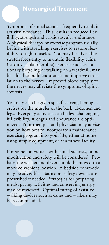Symptoms of spinal stenosis frequently result in activity avoidance. This results in reduced flexibility, strength and cardiovascular endurance. A physical therapy or exercise program usually begins with stretching exercises to restore flexibility to tight muscles. You may be advised to stretch frequently to maintain flexibility gains. Cardiovascular (aerobic) exercise, such as stationary bicycling or walking on a treadmill, may be added to build endurance and improve circulation to the nerves. Improved blood supply to the nerves may alleviate the symptoms of spinal stenosis.

You may also be given specific strengthening exercises for the muscles of the back, abdomen and legs. Everyday activities can be less challenging if flexibility, strength and endurance are optimized. Your therapist and physician may advise you on how best to incorporate a maintenance exercise program into your life, either at home using simple equipment, or at a fitness facility.

For some individuals with spinal stenosis, home modification and safety will be considered. Perhaps the washer and dryer should be moved to a more convenient location. A bedside commode may be advisable. Bathroom safety devices are prescribed if needed. Strategies for preparing meals, pacing activities and conserving energy may be reviewed. Optimal fitting of assistive walking devices such as canes and walkers may be recommended.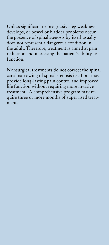Unless significant or progressive leg weakness develops, or bowel or bladder problems occur, the presence of spinal stenosis by itself usually does not represent a dangerous condition in the adult. Therefore, treatment is aimed at pain reduction and increasing the patient's ability to function.

Nonsurgical treatments do not correct the spinal canal narrowing of spinal stenosis itself but may provide long-lasting pain control and improved life function without requiring more invasive treatment. A comprehensive program may require three or more months of supervised treatment.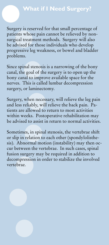### **What if I Need Surgery?**

Surgery is reserved for that small percentage of patients whose pain cannot be relieved by nonsurgical treatment methods. Surgery will also be advised for those individuals who develop progressive leg weakness, or bowel and bladder problems.

Since spinal stenosis is a narrowing of the bony canal, the goal of the surgery is to open up the bony canal to improve available space for the nerves. This is called lumbar decompression surgery, or laminectomy.

Surgery, when necessary, will relieve the leg pain and less reliably, will relieve the back pain. Patients are allowed to return to most activities within weeks. Postoperative rehabilitation may be advised to assist in return to normal activities.

Sometimes, in spinal stenosis, the vertebrae shift or slip in relation to each other (spondylolisthesis). Abnormal motion (instability) may then occur between the vertebrae. In such cases, spinal fusion surgery may be required in addition to decompression in order to stabilize the involved vertebrae.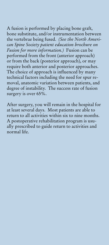A fusion is performed by placing bone graft, bone substitute, and/or instrumentation between the vertebrae being fused. *(See the North American Spine Society patient education brochure on Fusion for more information.)* Fusion can be performed from the front (anterior approach) or from the back (posterior approach), or may require both anterior and posterior approaches. The choice of approach is influenced by many technical factors including the need for spur removal, anatomic variation between patients, and degree of instability. The success rate of fusion surgery is over 65%.

After surgery, you will remain in the hospital for at least several days. Most patients are able to return to all activities within six to nine months. A postoperative rehabilitation program is usually prescribed to guide return to activities and normal life.